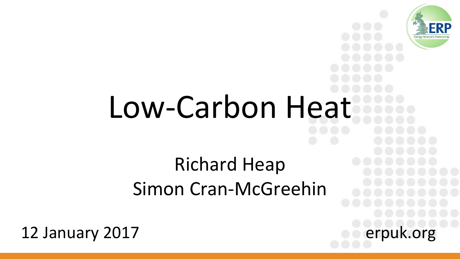

# Low-Carbon Heat

### Richard Heap Simon Cran-McGreehin

12 January 2017 **Example 2017 example 2017**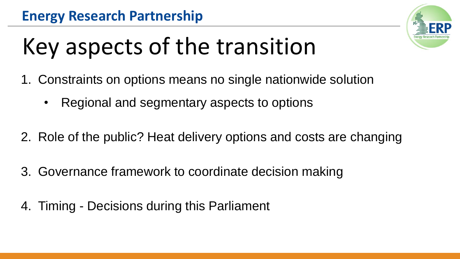

### Key aspects of the transition

- 1. Constraints on options means no single nationwide solution
	- Regional and segmentary aspects to options
- 2. Role of the public? Heat delivery options and costs are changing
- 3. Governance framework to coordinate decision making
- 4. Timing Decisions during this Parliament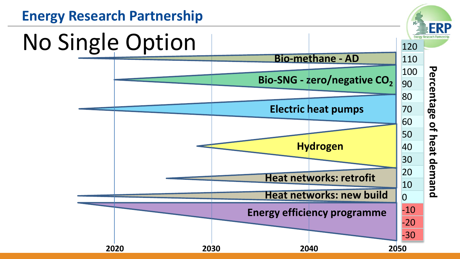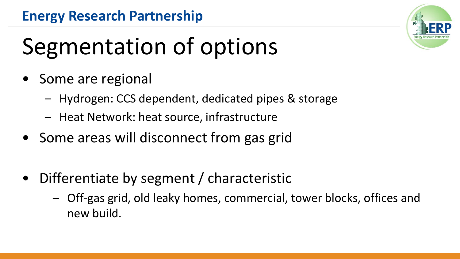## Segmentation of options

- Some are regional
	- Hydrogen: CCS dependent, dedicated pipes & storage
	- Heat Network: heat source, infrastructure
- Some areas will disconnect from gas grid
- Differentiate by segment / characteristic
	- Off-gas grid, old leaky homes, commercial, tower blocks, offices and new build.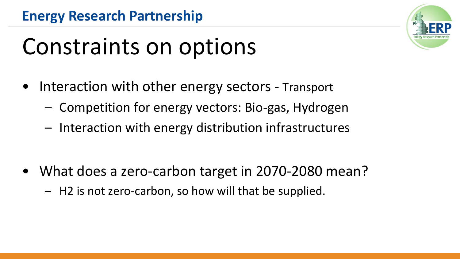

### Constraints on options

- Interaction with other energy sectors Transport
	- Competition for energy vectors: Bio-gas, Hydrogen
	- Interaction with energy distribution infrastructures

- What does a zero-carbon target in 2070-2080 mean?
	- H2 is not zero-carbon, so how will that be supplied.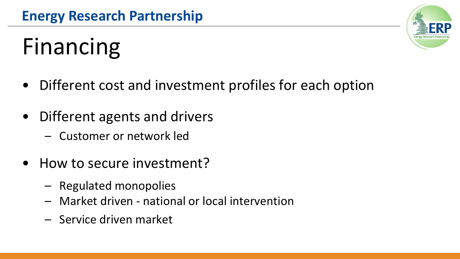### Financing

- Different cost and investment profiles for each option
- Different agents and drivers
	- Customer or network led
- How to secure investment?
	- Regulated monopolies
	- Market driven national or local intervention
	- Service driven market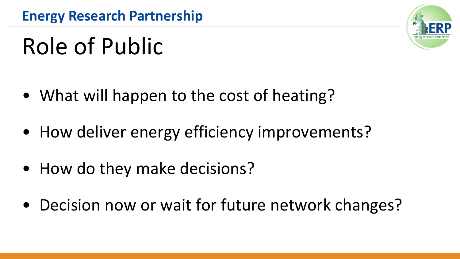### Role of Public

- What will happen to the cost of heating?
- How deliver energy efficiency improvements?
- How do they make decisions?
- Decision now or wait for future network changes?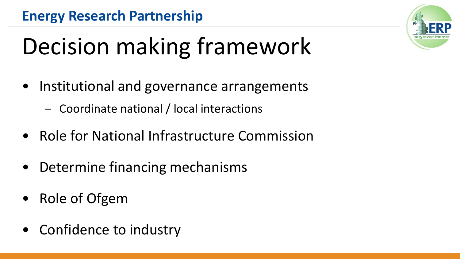## Decision making framework

- Institutional and governance arrangements
	- Coordinate national / local interactions
- Role for National Infrastructure Commission
- Determine financing mechanisms
- Role of Ofgem
- Confidence to industry

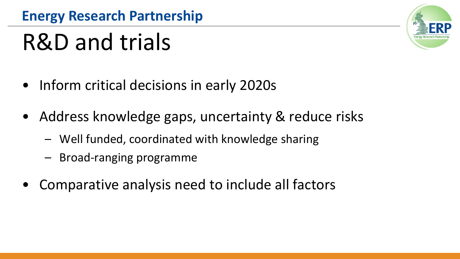### R&D and trials

- Inform critical decisions in early 2020s
- Address knowledge gaps, uncertainty & reduce risks
	- Well funded, coordinated with knowledge sharing
	- Broad-ranging programme
- Comparative analysis need to include all factors

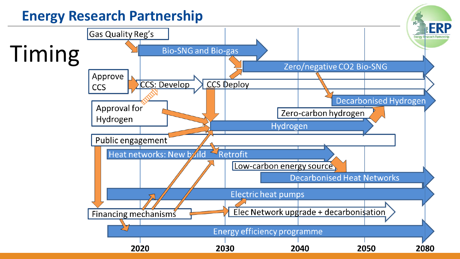### **Energy Research Partnership**

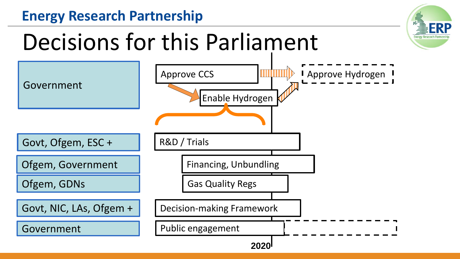### **Energy Research Partnership**

### Decisions for this Parliament